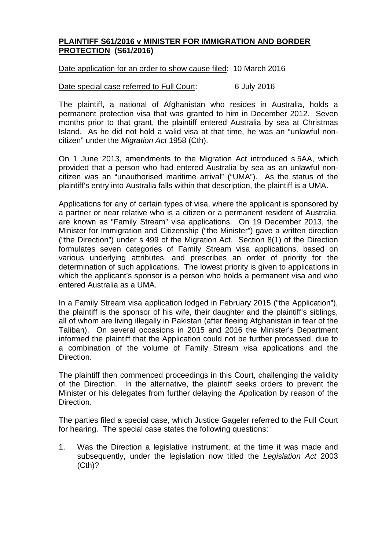## **PLAINTIFF S61/2016 v MINISTER FOR IMMIGRATION AND BORDER PROTECTION (S61/2016)**

## Date application for an order to show cause filed: 10 March 2016

## Date special case referred to Full Court: 6 July 2016

The plaintiff, a national of Afghanistan who resides in Australia, holds a permanent protection visa that was granted to him in December 2012. Seven months prior to that grant, the plaintiff entered Australia by sea at Christmas Island. As he did not hold a valid visa at that time, he was an "unlawful noncitizen" under the *Migration Act* 1958 (Cth).

On 1 June 2013, amendments to the Migration Act introduced s 5AA, which provided that a person who had entered Australia by sea as an unlawful noncitizen was an "unauthorised maritime arrival" ("UMA"). As the status of the plaintiff's entry into Australia falls within that description, the plaintiff is a UMA.

Applications for any of certain types of visa, where the applicant is sponsored by a partner or near relative who is a citizen or a permanent resident of Australia, are known as "Family Stream" visa applications. On 19 December 2013, the Minister for Immigration and Citizenship ("the Minister") gave a written direction ("the Direction") under s 499 of the Migration Act. Section 8(1) of the Direction formulates seven categories of Family Stream visa applications, based on various underlying attributes, and prescribes an order of priority for the determination of such applications. The lowest priority is given to applications in which the applicant's sponsor is a person who holds a permanent visa and who entered Australia as a UMA.

In a Family Stream visa application lodged in February 2015 ("the Application"), the plaintiff is the sponsor of his wife, their daughter and the plaintiff's siblings, all of whom are living illegally in Pakistan (after fleeing Afghanistan in fear of the Taliban). On several occasions in 2015 and 2016 the Minister's Department informed the plaintiff that the Application could not be further processed, due to a combination of the volume of Family Stream visa applications and the Direction.

The plaintiff then commenced proceedings in this Court, challenging the validity of the Direction. In the alternative, the plaintiff seeks orders to prevent the Minister or his delegates from further delaying the Application by reason of the Direction.

The parties filed a special case, which Justice Gageler referred to the Full Court for hearing. The special case states the following questions:

1. Was the Direction a legislative instrument, at the time it was made and subsequently, under the legislation now titled the *Legislation Act* 2003 (Cth)?